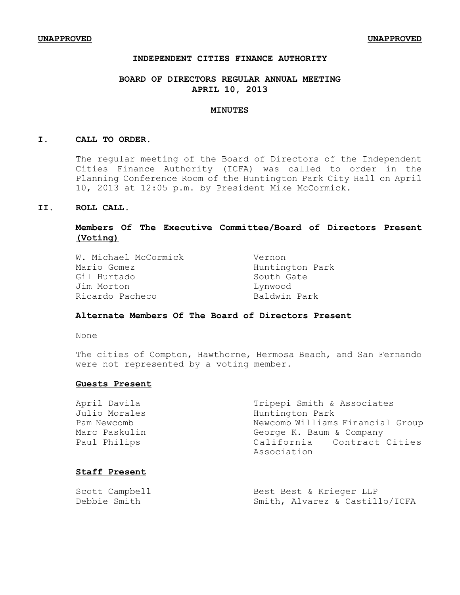# **INDEPENDENT CITIES FINANCE AUTHORITY**

# **BOARD OF DIRECTORS REGULAR ANNUAL MEETING APRIL 10, 2013**

#### **MINUTES**

#### **I. CALL TO ORDER.**

The regular meeting of the Board of Directors of the Independent Cities Finance Authority (ICFA) was called to order in the Planning Conference Room of the Huntington Park City Hall on April 10, 2013 at 12:05 p.m. by President Mike McCormick.

## **II. ROLL CALL.**

# **Members Of The Executive Committee/Board of Directors Present (Voting)**

| W. Michael McCormick | Vernon          |
|----------------------|-----------------|
| Mario Gomez          | Huntington Park |
| Gil Hurtado          | South Gate      |
| Jim Morton           | Lynwood         |
| Ricardo Pacheco      | Baldwin Park    |

## **Alternate Members Of The Board of Directors Present**

None

The cities of Compton, Hawthorne, Hermosa Beach, and San Fernando were not represented by a voting member.

## **Guests Present**

| April Davila  | Tripepi Smith & Associates                |
|---------------|-------------------------------------------|
| Julio Morales | Huntington Park                           |
| Pam Newcomb   | Newcomb Williams Financial Group          |
| Marc Paskulin | George K. Baum & Company                  |
| Paul Philips  | California Contract Cities<br>Association |
|               |                                           |

## **Staff Present**

| Scott Campbell | Best Best & Krieger LLP        |
|----------------|--------------------------------|
| Debbie Smith   | Smith, Alvarez & Castillo/ICFA |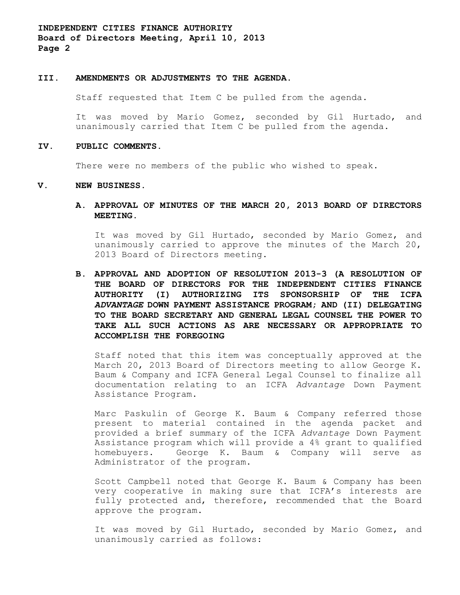**INDEPENDENT CITIES FINANCE AUTHORITY Board of Directors Meeting, April 10, 2013 Page 2**

#### **III. AMENDMENTS OR ADJUSTMENTS TO THE AGENDA**.

Staff requested that Item C be pulled from the agenda.

It was moved by Mario Gomez, seconded by Gil Hurtado, and unanimously carried that Item C be pulled from the agenda.

### **IV. PUBLIC COMMENTS.**

There were no members of the public who wished to speak.

### **V. NEW BUSINESS.**

**A. APPROVAL OF MINUTES OF THE MARCH 20, 2013 BOARD OF DIRECTORS MEETING.**

It was moved by Gil Hurtado, seconded by Mario Gomez, and unanimously carried to approve the minutes of the March 20, 2013 Board of Directors meeting.

**B. APPROVAL AND ADOPTION OF RESOLUTION 2013-3 (A RESOLUTION OF THE BOARD OF DIRECTORS FOR THE INDEPENDENT CITIES FINANCE AUTHORITY (I) AUTHORIZING ITS SPONSORSHIP OF THE ICFA** *ADVANTAGE* **DOWN PAYMENT ASSISTANCE PROGRAM; AND (II) DELEGATING TO THE BOARD SECRETARY AND GENERAL LEGAL COUNSEL THE POWER TO TAKE ALL SUCH ACTIONS AS ARE NECESSARY OR APPROPRIATE TO ACCOMPLISH THE FOREGOING**

Staff noted that this item was conceptually approved at the March 20, 2013 Board of Directors meeting to allow George K. Baum & Company and ICFA General Legal Counsel to finalize all documentation relating to an ICFA *Advantage* Down Payment Assistance Program.

Marc Paskulin of George K. Baum & Company referred those present to material contained in the agenda packet and provided a brief summary of the ICFA *Advantage* Down Payment Assistance program which will provide a 4% grant to qualified homebuyers. George K. Baum & Company will serve as Administrator of the program.

Scott Campbell noted that George K. Baum & Company has been very cooperative in making sure that ICFA's interests are fully protected and, therefore, recommended that the Board approve the program.

It was moved by Gil Hurtado, seconded by Mario Gomez, and unanimously carried as follows: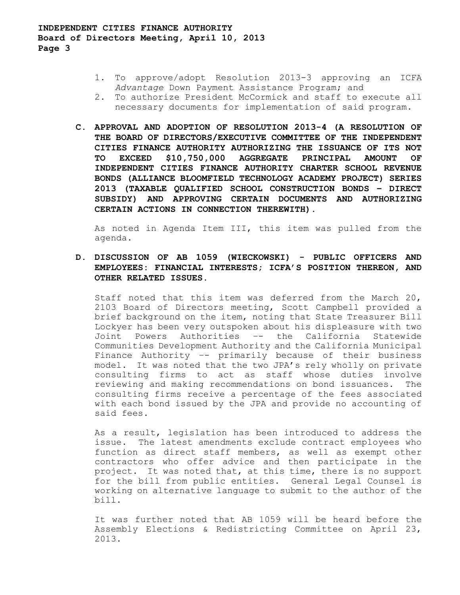- 1. To approve/adopt Resolution 2013-3 approving an ICFA *Advantage* Down Payment Assistance Program; and
- 2. To authorize President McCormick and staff to execute all necessary documents for implementation of said program.
- **C. APPROVAL AND ADOPTION OF RESOLUTION 2013-4 (A RESOLUTION OF THE BOARD OF DIRECTORS/EXECUTIVE COMMITTEE OF THE INDEPENDENT CITIES FINANCE AUTHORITY AUTHORIZING THE ISSUANCE OF ITS NOT TO EXCEED \$10,750,000 AGGREGATE PRINCIPAL AMOUNT OF INDEPENDENT CITIES FINANCE AUTHORITY CHARTER SCHOOL REVENUE BONDS (ALLIANCE BLOOMFIELD TECHNOLOGY ACADEMY PROJECT) SERIES 2013 (TAXABLE QUALIFIED SCHOOL CONSTRUCTION BONDS – DIRECT SUBSIDY) AND APPROVING CERTAIN DOCUMENTS AND AUTHORIZING CERTAIN ACTIONS IN CONNECTION THEREWITH).**

As noted in Agenda Item III, this item was pulled from the agenda.

**D. DISCUSSION OF AB 1059 (WIECKOWSKI) - PUBLIC OFFICERS AND EMPLOYEES: FINANCIAL INTERESTS; ICFA'S POSITION THEREON, AND OTHER RELATED ISSUES.**

Staff noted that this item was deferred from the March 20, 2103 Board of Directors meeting, Scott Campbell provided a brief background on the item, noting that State Treasurer Bill Lockyer has been very outspoken about his displeasure with two Joint Powers Authorities –- the California Statewide Communities Development Authority and the California Municipal Finance Authority –- primarily because of their business model. It was noted that the two JPA's rely wholly on private consulting firms to act as staff whose duties involve reviewing and making recommendations on bond issuances. The consulting firms receive a percentage of the fees associated with each bond issued by the JPA and provide no accounting of said fees.

As a result, legislation has been introduced to address the issue. The latest amendments exclude contract employees who function as direct staff members, as well as exempt other contractors who offer advice and then participate in the project. It was noted that, at this time, there is no support for the bill from public entities. General Legal Counsel is working on alternative language to submit to the author of the bill.

It was further noted that AB 1059 will be heard before the Assembly Elections & Redistricting Committee on April 23, 2013.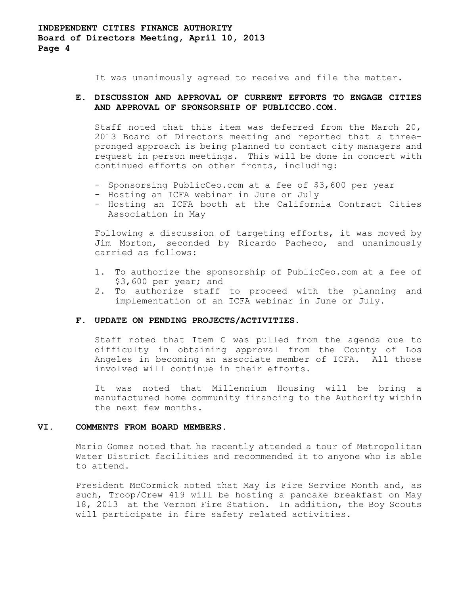**INDEPENDENT CITIES FINANCE AUTHORITY Board of Directors Meeting, April 10, 2013 Page 4**

It was unanimously agreed to receive and file the matter.

# **E. DISCUSSION AND APPROVAL OF CURRENT EFFORTS TO ENGAGE CITIES AND APPROVAL OF SPONSORSHIP OF PUBLICCEO.COM.**

Staff noted that this item was deferred from the March 20, 2013 Board of Directors meeting and reported that a threepronged approach is being planned to contact city managers and request in person meetings. This will be done in concert with continued efforts on other fronts, including:

- Sponsorsing PublicCeo.com at a fee of \$3,600 per year
- Hosting an ICFA webinar in June or July
- Hosting an ICFA booth at the California Contract Cities Association in May

Following a discussion of targeting efforts, it was moved by Jim Morton, seconded by Ricardo Pacheco, and unanimously carried as follows:

- 1. To authorize the sponsorship of PublicCeo.com at a fee of \$3,600 per year; and
- 2. To authorize staff to proceed with the planning and implementation of an ICFA webinar in June or July.

### **F. UPDATE ON PENDING PROJECTS/ACTIVITIES.**

Staff noted that Item C was pulled from the agenda due to difficulty in obtaining approval from the County of Los Angeles in becoming an associate member of ICFA. All those involved will continue in their efforts.

It was noted that Millennium Housing will be bring a manufactured home community financing to the Authority within the next few months.

## **VI. COMMENTS FROM BOARD MEMBERS.**

Mario Gomez noted that he recently attended a tour of Metropolitan Water District facilities and recommended it to anyone who is able to attend.

President McCormick noted that May is Fire Service Month and, as such, Troop/Crew 419 will be hosting a pancake breakfast on May 18, 2013 at the Vernon Fire Station. In addition, the Boy Scouts will participate in fire safety related activities.